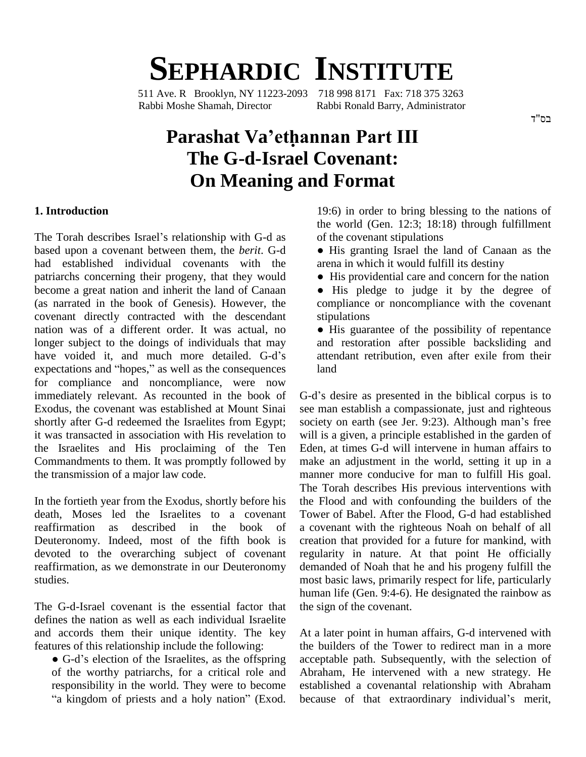# **SEPHARDIC INSTITUTE**

511 Ave. R Brooklyn, NY 11223-2093 718 998 8171 Fax: 718 375 3263 Rabbi Moshe Shamah, Director Rabbi Ronald Barry, Administrator

#### בס"ד

## **Parashat Vaíethannan Part III The G-d-Israel Covenant: On Meaning and Format**

#### **1. Introduction**

The Torah describes Israel's relationship with G-d as based upon a covenant between them, the *berit*. G-d had established individual covenants with the patriarchs concerning their progeny, that they would become a great nation and inherit the land of Canaan (as narrated in the book of Genesis). However, the covenant directly contracted with the descendant nation was of a different order. It was actual, no<br>longer subject to the doings of individuals that may an<br>have voided it, and much more detailed. G-d's att longer subject to the doings of individuals that may have voided it, and much more detailed. G-d's expectations and "hopes," as well as the consequences for compliance and noncompliance, were now immediately relevant. As recounted in the book of Exodus, the covenant was established at Mount Sinai shortly after G-d redeemed the Israelites from Egypt; society on earth (see Jer. 9:23). Although man's free it was transacted in association with His revelation to the Israelites and His proclaiming of the Ten Commandments to them. It was promptly followed by the transmission of a major law code.

In the fortieth year from the Exodus, shortly before his death, Moses led the Israelites to a covenant reaffirmation as described in the book of Deuteronomy. Indeed, most of the fifth book is devoted to the overarching subject of covenant reaffirmation, as we demonstrate in our Deuteronomy studies.

The G-d-Israel covenant is the essential factor that defines the nation as well as each individual Israelite and accords them their unique identity. The key At a la<br>features of this relationship include the following: the bu<br>
● G-d's election of the Israelites, as the offspring accept features of this relationship include the following:

of the worthy patriarchs, for a critical role and Abrah responsibility in the world. They were to become "a kingdom of priests and a holy nation" (Exod.

19:6) in order to bring blessing to the nations of the world (Gen.  $12:3$ ;  $18:18$ ) through fulfillment of the covenant stipulations

- His granting Israel the land of Canaan as the arena in which it would fulfill its destiny
- His providential care and concern for the nation

• His pledge to judge it by the degree of compliance or noncompliance with the covenant stipulations

 $\bullet$  His guarantee of the possibility of repentance and restoration after possible backsliding and attendant retribution, even after exile from their land

G-d's desire as presented in the biblical corpus is to see man establish a compassionate, just and righteous G-d's desire as presented in the biblical corpus is to<br>see man establish a compassionate, just and righteous<br>society on earth (see Jer. 9:23). Although man's free will is a given, a principle established in the garden of Eden, at times G-d will intervene in human affairs to make an adjustment in the world, setting it up in a manner more conducive for man to fulfill His goal. The Torah describes His previous interventions with the Flood and with confounding the builders of the Tower of Babel. After the Flood, G-d had established a covenant with the righteous Noah on behalf of all creation that provided for a future for mankind, with regularity in nature. At that point He officially demanded of Noah that he and his progeny fulfill the most basic laws, primarily respect for life, particularly human life (Gen. 9:4-6). He designated the rainbow as the sign of the covenant.

At a later point in human affairs, G-d intervened with the builders of the Tower to redirect man in a more acceptable path. Subsequently, with the selection of Abraham, He intervened with a new strategy. He established a covenantal relationship with Abraham because of that extraordinary individual's merit,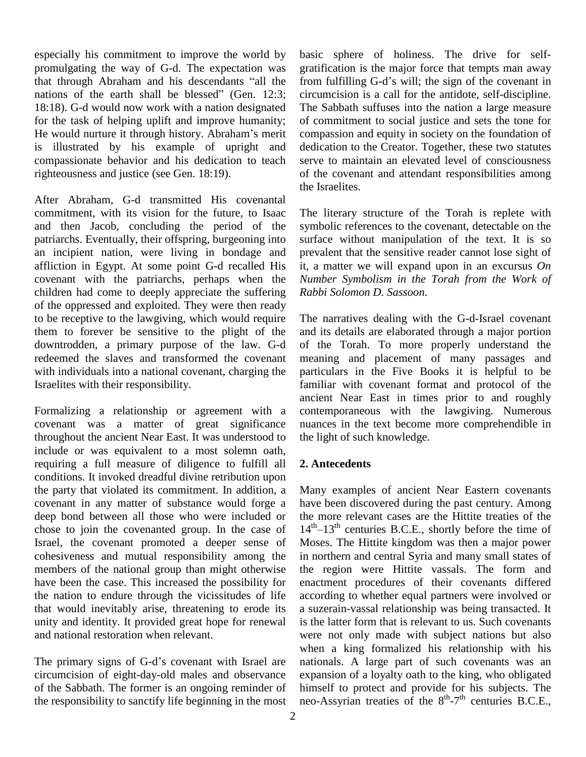especially his commitment to improve the world by promulgating the way of G-d. The expectation was that through Abraham and his descendants "all the from fulfilling G-d's will; the sign of the covenant in nations of the earth shall be blessed" (Gen.  $12:3$ ; 18:18). G-d would now work with a nation designated The S<br>for the task of helping uplift and improve humanity; of cor<br>He would nurture it through history. Abraham's merit compa for the task of helping uplift and improve humanity; is illustrated by his example of upright and compassionate behavior and his dedication to teach righteousness and justice (see Gen. 18:19).

After Abraham, G-d transmitted His covenantal commitment, with its vision for the future, to Isaac and then Jacob, concluding the period of the patriarchs. Eventually, their offspring, burgeoning into an incipient nation, were living in bondage and affliction in Egypt. At some point G-d recalled His covenant with the patriarchs, perhaps when the children had come to deeply appreciate the suffering of the oppressed and exploited. They were then ready to be receptive to the lawgiving, which would require them to forever be sensitive to the plight of the downtrodden, a primary purpose of the law. G-d redeemed the slaves and transformed the covenant with individuals into a national covenant, charging the Israelites with their responsibility.

Formalizing a relationship or agreement with a covenant was a matter of great significance throughout the ancient Near East. It was understood to include or was equivalent to a most solemn oath, requiring a full measure of diligence to fulfill all conditions. It invoked dreadful divine retribution upon the party that violated its commitment. In addition, a covenant in any matter of substance would forge a deep bond between all those who were included or chose to join the covenanted group. In the case of Israel, the covenant promoted a deeper sense of cohesiveness and mutual responsibility among the members of the national group than might otherwise have been the case. This increased the possibility for the nation to endure through the vicissitudes of life that would inevitably arise, threatening to erode its unity and identity. It provided great hope for renewal and national restoration when relevant.

The primary signs of G-d's covenant with Israel are circumcision of eight-day-old males and observance of the Sabbath. The former is an ongoing reminder of the responsibility to sanctify life beginning in the most

basic sphere of holiness. The drive for self-<br>gratification is the major force that tempts man away<br>from fulfilling G-d's will; the sign of the covenant in gratification is the major force that tempts man away circumcision is a call for the antidote, self-discipline. The Sabbath suffuses into the nation a large measure of commitment to social justice and sets the tone for compassion and equity in society on the foundation of dedication to the Creator. Together, these two statutes serve to maintain an elevated level of consciousness of the covenant and attendant responsibilities among the Israelites.

The literary structure of the Torah is replete with symbolic references to the covenant, detectable on the surface without manipulation of the text. It is so prevalent that the sensitive reader cannot lose sight of it, a matter we will expand upon in an excursus *On Number Symbolism in the Torah from the Work of Rabbi Solomon D. Sassoon*.

The narratives dealing with the G-d-Israel covenant and its details are elaborated through a major portion of the Torah. To more properly understand the meaning and placement of many passages and particulars in the Five Books it is helpful to be familiar with covenant format and protocol of the ancient Near East in times prior to and roughly contemporaneous with the lawgiving. Numerous nuances in the text become more comprehendible in the light of such knowledge.

#### **2. Antecedents**

Many examples of ancient Near Eastern covenants have been discovered during the past century. Among the more relevant cases are the Hittite treaties of the have been discovered during the past century. Among<br>the more relevant cases are the Hittite treaties of the<br>14<sup>th</sup>–13<sup>th</sup> centuries B.C.E., shortly before the time of Moses. The Hittite kingdom was then a major power in northern and central Syria and many small states of the region were Hittite vassals. The form and enactment procedures of their covenants differed according to whether equal partners were involved or a suzerain-vassal relationship was being transacted. It is the latter form that is relevant to us. Such covenants were not only made with subject nations but also when a king formalized his relationship with his nationals. A large part of such covenants was an expansion of a loyalty oath to the king, who obligated himself to protect and provide for his subjects. The neo-Assyrian treaties of the  $8<sup>th</sup> - 7<sup>th</sup>$  centuries B.C.E.,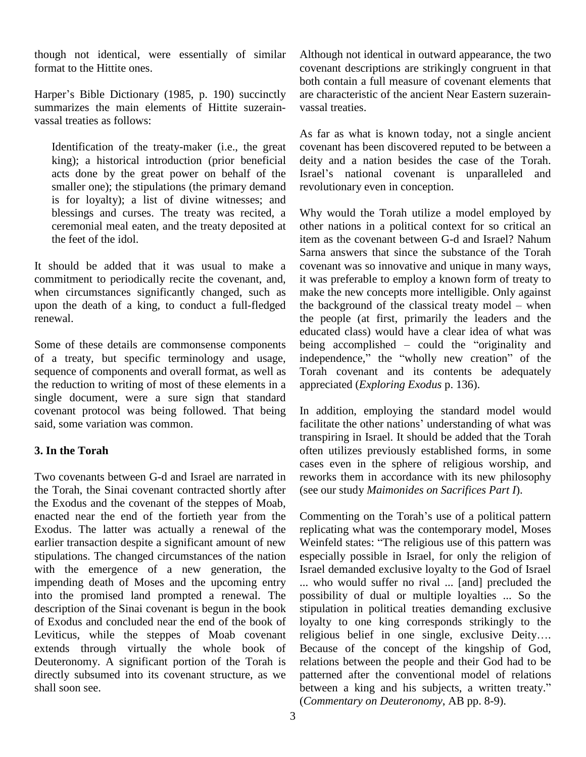though not identical, were essentially of similar format to the Hittite ones.

Harper's Bible Dictionary (1985, p. 190) succinctly summarizes the main elements of Hittite suzerainvassal treaties as follows:

Identification of the treaty-maker (i.e., the great king); a historical introduction (prior beneficial acts done by the great power on behalf of the smaller one); the stipulations (the primary demand is for loyalty); a list of divine witnesses; and blessings and curses. The treaty was recited, a ceremonial meal eaten, and the treaty deposited at the feet of the idol.

It should be added that it was usual to make a commitment to periodically recite the covenant, and, when circumstances significantly changed, such as upon the death of a king, to conduct a full-fledged the background of the classical treaty model – when renewal.

Some of these details are commonsense components of a treaty, but specific terminology and usage, sequence of components and overall format, as well as the reduction to writing of most of these elements in a single document, were a sure sign that standard covenant protocol was being followed. That being said, some variation was common.

### **3. In the Torah**

Two covenants between G-d and Israel are narrated in the Torah, the Sinai covenant contracted shortly after the Exodus and the covenant of the steppes of Moab, enacted near the end of the fortieth year from the Exodus. The latter was actually a renewal of the earlier transaction despite a significant amount of new Weinfeld states: "The religious use of this pattern was stipulations. The changed circumstances of the nation with the emergence of a new generation, the impending death of Moses and the upcoming entry into the promised land prompted a renewal. The description of the Sinai covenant is begun in the book of Exodus and concluded near the end of the book of Leviticus, while the steppes of Moab covenant extends through virtually the whole book of Deuteronomy. A significant portion of the Torah is directly subsumed into its covenant structure, as we shall soon see.

Although not identical in outward appearance, the two covenant descriptions are strikingly congruent in that both contain a full measure of covenant elements that are characteristic of the ancient Near Eastern suzerain vassal treaties.

As far as what is known today, not a single ancient covenant has been discovered reputed to be between a deity and a nation besides the case of the Torah. Israel's national covenant is unparalleled and revolutionary even in conception.

Why would the Torah utilize a model employed by other nations in a political context for so critical an item as the covenant between G-d and Israel? Nahum Sarna answers that since the substance of the Torah covenant was so innovative and unique in many ways, it was preferable to employ a known form of treaty to<br>make the new concepts more intelligible. Only against<br>the background of the classical treaty model – when make the new concepts more intelligible. Only against the people (at first, primarily the leaders and the educated class) would have a clear idea of what was being accomplished  $\overline{\phantom{a}}$  could the "originality and independence," the "wholly new creation" of the Torah covenant and its contents be adequately appreciated (*Exploring Exodus* p.136).

In addition, employing the standard model would facilitate the other nations' understanding of what was transpiring in Israel. It should be added that the Torah often utilizes previously established forms, in some cases even in the sphere of religious worship, and reworks them in accordance with its new philosophy (see our study *Maimonides on Sacrifices Part I*). (see our study *Maimonides on Sacrifices Part I*).<br>Commenting on the Torah's use of a political pattern

replicating what was the contemporary model, Moses Commenting on the Torah's use of a political pattern<br>replicating what was the contemporary model, Moses<br>Weinfeld states: "The religious use of this pattern was especially possible in Israel, for only the religion of Israel demanded exclusive loyalty to the God of Israel ... who would suffer no rival ... [and] precluded the possibility of dual or multiple loyalties ... So the stipulation in political treaties demanding exclusive loyalty to one king corresponds strikingly to the religious belief in one single, exclusive Deity.... Because of the concept of the kingship of God, relations between the people and their God had to be patterned after the conventional model of relations between a king and his subjects, a written treaty." patterned after the conventional model of relations (*Commentary on Deuteronomy*, AB pp. 8-9).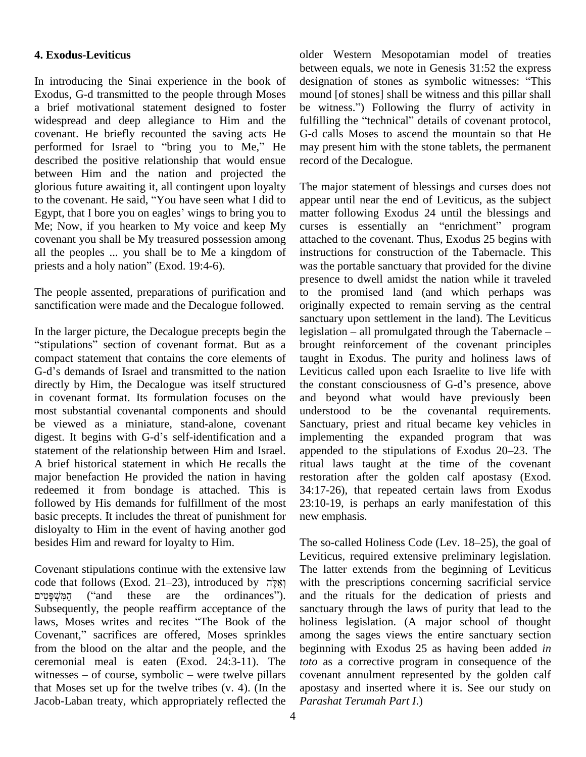### **4. Exodus-Leviticus**

In introducing the Sinai experience in the book of Exodus, G-d transmitted to the people through Moses a brief motivational statement designed to foster be witness.") Following the flurry of activity in widespread and deep allegiance to Him and the fulfil<br>covenant. He briefly recounted the saving acts He G-d<br>performed for Israel to "bring you to Me," He may covenant. He briefly recounted the saving acts He described the positive relationship that would ensue between Him and the nation and projected the glorious future awaiting it, all contingent upon loyalty The m to the covenant. He said, "You have seen what I did to appear glorious future awaiting it, all contingent upon loyalty The m<br>to the covenant. He said, "You have seen what I did to appear<br>Egypt, that I bore you on eagles' wings to bring you to matter Me; Now, if you hearken to My voice and keep My covenant you shall be My treasured possession among all the peoples ... you shall be to Me a kingdom of covenant you shall be My treasured possessio<br>all the peoples ... you shall be to Me a king<br>priests and a holy nation" (Exod. 19:4-6).

The people assented, preparations of purification and sanctification were made and the Decalogue followed.

In the larger picture, the Decalogue precepts begin the legislation  $-$  all promulgated through the Tabernacle  $$ sanct<br>in the larger picture, the Decalogue precepts begin the legisl<br>stipulations" section of covenant format. But as a broug compact statement that contains the core elements of "stipulations" section of covenant format. But as a brough<br>compact statement that contains the core elements of taught<br>G-d's demands of Israel and transmitted to the nation Levitie directly by Him, the Decalogue was itself structured the constant consciousness of G-d's presence, above in covenant format. Its formulation focuses on the most substantial covenantal components and should unders<br>be viewed as a miniature, stand-alone, covenant Sanctu<br>digest. It begins with G-d's self-identification and a impler be viewed as a miniature, stand-alone, covenant statement of the relationship between Him and Israel. appended to the stipulations of Exodus 20–23. The A brief historical statement in which He recalls the major benefaction He provided the nation in having redeemed it from bondage is attached. This is followed by His demands for fulfillment of the most basic precepts. It includes the threat of punishment for disloyalty to Him in the event of having another god besides Him and reward for loyalty to Him.

Covenant stipulations continue with the extensive law The latter covenant stipulations continue with the extensive law Th<br>code that follows (Exod. 21–23), introduced by אֵלֶּה wi T (in the extensive law that follows (Exod. 21–23), introduced by וְאֵלֶה<br>mat follows (Exod. 21–23), introduced by וְאֵלֶה<br>(and these are the ordinances"). a Subsequently, the people reaffirm acceptance of the sanct הַמְּשְׁפָּטִים ("and these are the ordinances"). and<br>Subsequently, the people reaffirm acceptance of the sanct<br>laws, Moses writes and recites "The Book of the holin Subsequently, the people reaffirm acceptance of the sance<br>laws, Moses writes and recites "The Book of the holi:<br>Covenant," sacrifices are offered, Moses sprinkles amo from the blood on the altar and the people, and the begin ceremonial meal is eaten (Exod. 24:3-11). The *toto* witnesses – of course, symbolic – were twelve pillars cover ceremonial meal is eaten (Exod. 24:3-11). The that Moses set up for the twelve tribes (v. 4). (In the Jacob-Laban treaty, which appropriately reflected the

older Western Mesopotamian model of treaties between equals, we note in Genesis 31:52 the express older Western Mesopotamian model of treaties<br>between equals, we note in Genesis 31:52 the express<br>designation of stones as symbolic witnesses: "This mound [of stones] shall be witness and this pillar shall designation of stones as symbolic witnesses: "This<br>mound [of stones] shall be witness and this pillar shall<br>be witness.") Following the flurry of activity in fulfilling the "technical" details of covenant protocol, G-d calls Moses to ascend the mountain so that He may present him with the stone tablets, the permanent record of the Decalogue.

The major statement of blessings and curses does not appear until near the end of Leviticus, as the subject matter following Exodus 24 until the blessings and curses is essentially an "enrichment" program attached to the covenant. Thus, Exodus 25 begins with instructions for construction of the Tabernacle. This was the portable sanctuary that provided for the divine presence to dwell amidst the nation while it traveled to the promised land (and which perhaps was originally expected to remain serving as the central sanctuary upon settlement in the land). The Leviticus originally expected to remain serving as the central<br>sanctuary upon settlement in the land). The Leviticus<br>legislation – all promulgated through the Tabernacle – brought reinforcement of the covenant principles taught in Exodus. The purity and holiness laws of Leviticus called upon each Israelite to live life with taught in Exodus. The purity and holiness laws of<br>Leviticus called upon each Israelite to live life with<br>the constant consciousness of G-d's presence, above and beyond what would have previously been understood to be the covenantal requirements. Sanctuary, priest and ritual became key vehicles in implementing the expanded program that was Sanctuary, priest and ritual became key vehicles in<br>implementing the expanded program that was<br>appended to the stipulations of Exodus 20–23. The ritual laws taught at the time of the covenant restoration after the golden calf apostasy (Exod. 34:17-26), that repeated certain laws from Exodus 23:10-19, is perhaps an early manifestation of this new emphasis.

The so-called Holiness Code (Lev.  $18-25$ ), the goal of Leviticus, required extensive preliminary legislation. The latter extends from the beginning of Leviticus with the prescriptions concerning sacrificial service and the rituals for the dedication of priests and sanctuary through the laws of purity that lead to the holiness legislation. (A major school of thought among the sages views the entire sanctuary section beginning with Exodus 25 as having been added *in toto* as a corrective program in consequence of the covenant annulment represented by the golden calf apostasy and inserted where it is. See our study on *Parashat Terumah Part I*.)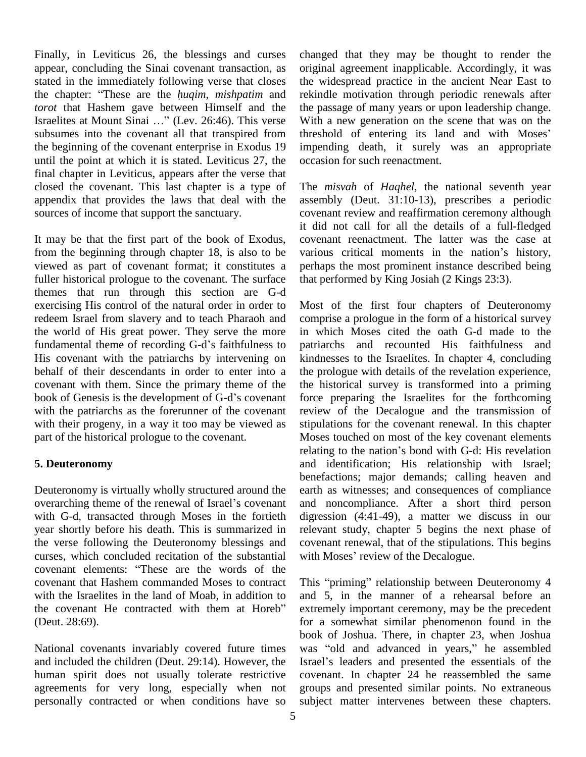Finally, in Leviticus 26, the blessings and curses appear, concluding the Sinai covenant transaction, as stated in the immediately following verse that closes appear, concluding the Sinai covenant transaction, as originstated in the immediately following verse that closes the withe chapter: "These are the *huqim, mishpatim* and rekind *torot* that Hashem gave between Himself and the the chapter: "These are the *huqim, mishpatim* and *torot* that Hashem gave between Himself and the Israelites at Mount Sinai ..." (Lev. 26:46). This verse subsumes into the covenant all that transpired from threshold of entering its land and with Moses' the beginning of the covenant enterprise in Exodus 19 until the point at which it is stated. Leviticus 27, the final chapter in Leviticus, appears after the verse that closed the covenant. This last chapter is a type of appendix that provides the laws that deal with the sources of income that support the sanctuary.

It may be that the first part of the book of Exodus, from the beginning through chapter 18, is also to be various critical moments in the nation's history, viewed as part of covenant format; it constitutes a fuller historical prologue to the covenant. The surface themes that run through this section are G-d exercising His control of the natural order in order to redeem Israel from slavery and to teach Pharaoh and the world of His great power. They serve the more fundamental theme of recording G-d's faithfulness to His covenant with the patriarchs by intervening on behalf of their descendants in order to enter into a covenant with them. Since the primary theme of the behalf of their descendants in order to enter into a the covenant with them. Since the primary theme of the the book of Genesis is the development of G-d's covenant for with the patriarchs as the forerunner of the covenant with their progeny, in a way it too may be viewed as part of the historical prologue to the covenant.

#### **5. Deuteronomy**

Deuteronomy is virtually wholly structured around the overarching theme of the renewal of Israel's covenant with G-d, transacted through Moses in the fortieth year shortly before his death. This is summarized in the verse following the Deuteronomy blessings and covenations, which concluded recitation of the substantial with N<br>covenant elements: "These are the words of the curses, which concluded recitation of the substantial with Moses' review of the Decalogue. covenant that Hashem commanded Moses to contract with the Israelites in the land of Moab, in addition to and 5 covenant that Hashem commanded Moses to contract This<br>with the Israelites in the land of Moab, in addition to and<br>the covenant He contracted with them at Horeb<sup>?</sup> extre (Deut. 28:69).

National covenants invariably covered future times and included the children (Deut. 29:14). However, the Israel's leaders and presented the essentials of the human spirit does not usually tolerate restrictive agreements for very long, especially when not personally contracted or when conditions have so

changed that they may be thought to render the original agreement inapplicable. Accordingly, it was the widespread practice in the ancient Near East to rekindle motivation through periodic renewals after the passage of many years or upon leadership change.<br>With a new generation on the scene that was on the<br>threshold of entering its land and with Moses' With a new generation on the scene that was on the impending death, it surely was an appropriate occasion for such reenactment.

The *misvah* of *Haqhel*, the national seventh year assembly (Deut. 31:10-13), prescribes a periodic covenant review and reaffirmation ceremony although it did not call for all the details of a full-fledged various critical moments in the nationí<sup>s</sup> history, covenant reenactment. The latter was the case at perhaps the most prominent instance described being that performed by King Josiah (2 Kings 23:3).

Most of the first four chapters of Deuteronomy comprise a prologue in the form of a historical survey in which Moses cited the oath G-d made to the patriarchs and recounted His faithfulness and kindnesses to the Israelites. In chapter 4, concluding the prologue with details of the revelation experience, the historical survey is transformed into a priming force preparing the Israelites for the forthcoming review of the Decalogue and the transmission of stipulations for the covenant renewal. In this chapter Moses touched on most of the key covenant elements stipulations for the covenant renewal. In this chapter<br>Moses touched on most of the key covenant elements<br>relating to the nation's bond with G-d: His revelation and identification; His relationship with Israel; benefactions; major demands; calling heaven and earth as witnesses; and consequences of compliance and noncompliance. After a short third person digression (4:41-49), a matter we discuss in our relevant study, chapter 5 begins the next phase of covenant renewal, that of the stipulations. This begins relevant study, chapter 5 begins the next covenant renewal, that of the stipulations.<br>with Moses' review of the Decalogue.

This "priming" relationship between Deuteronomy 4 and 5, in the manner of a rehearsal before an extremely important ceremony, may be the precedent for a somewhat similar phenomenon found in the book of Joshua. There, in chapter 23, when Joshua for a somewhat similar phenomenon found in the<br>book of Joshua. There, in chapter 23, when Joshua<br>was "old and advanced in years," he assembled book of Joshua. There, in chapter 23, when Joshua<br>was "old and advanced in years," he assembled<br>Israel's leaders and presented the essentials of the covenant. In chapter 24 he reassembled the same groups and presented similar points. No extraneous subject matter intervenes between these chapters.